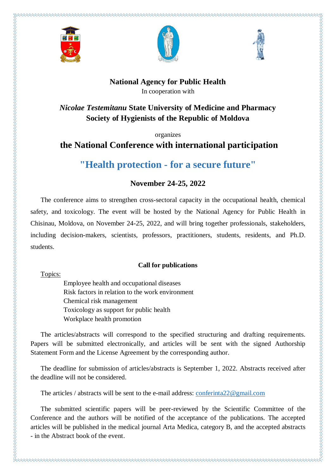





## **National Agency for Public Health** In cooperation with

*Nicolae Testemitanu* **State University of Medicine and Pharmacy Society of Hygienists of the Republic of Moldova**

organizes

# **the National Conference with international participation**

**"Health protection - for a secure future"**

## **November 24-25, 2022**

The conference aims to strengthen cross-sectoral capacity in the occupational health, chemical safety, and toxicology. The event will be hosted by the National Agency for Public Health in Chisinau, Moldova, on November 24-25, 2022, and will bring together professionals, stakeholders, including decision-makers, scientists, professors, practitioners, students, residents, and Ph.D. students.

### **Call for publications**

Topics:

Employee health and occupational diseases Risk factors in relation to the work environment Chemical risk management Toxicology as support for public health Workplace health promotion

The articles/abstracts will correspond to the specified structuring and drafting requirements. Papers will be submitted electronically, and articles will be sent with the signed Authorship Statement Form and the License Agreement by the corresponding author.

The deadline for submission of articles/abstracts is September 1, 2022. Abstracts received after the deadline will not be considered.

The articles / abstracts will be sent to the e-mail address: [conferinta22@gmail.com](mailto:conferinta22@gmail.com)

The submitted scientific papers will be peer-reviewed by the Scientific Committee of the Conference and the authors will be notified of the acceptance of the publications. The accepted articles will be published in the medical journal Arta Medica, category B, and the accepted abstracts - in the Abstract book of the event.